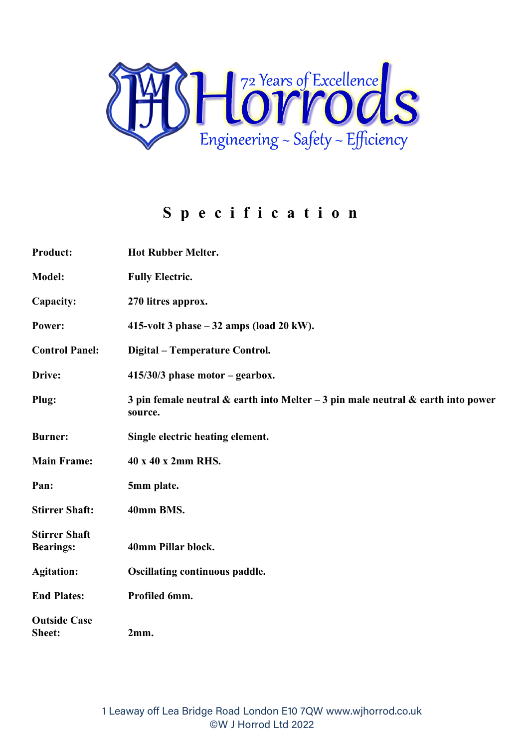

## **Specification**

| <b>Product:</b>                          | <b>Hot Rubber Melter.</b>                                                                         |
|------------------------------------------|---------------------------------------------------------------------------------------------------|
| Model:                                   | <b>Fully Electric.</b>                                                                            |
| Capacity:                                | 270 litres approx.                                                                                |
| Power:                                   | 415-volt 3 phase $-32$ amps (load 20 kW).                                                         |
| <b>Control Panel:</b>                    | Digital – Temperature Control.                                                                    |
| Drive:                                   | $415/30/3$ phase motor – gearbox.                                                                 |
| Plug:                                    | 3 pin female neutral $\&$ earth into Melter - 3 pin male neutral $\&$ earth into power<br>source. |
| <b>Burner:</b>                           | Single electric heating element.                                                                  |
| <b>Main Frame:</b>                       | 40 x 40 x 2mm RHS.                                                                                |
| Pan:                                     | 5mm plate.                                                                                        |
| <b>Stirrer Shaft:</b>                    | 40mm BMS.                                                                                         |
| <b>Stirrer Shaft</b><br><b>Bearings:</b> | 40mm Pillar block.                                                                                |
| <b>Agitation:</b>                        | <b>Oscillating continuous paddle.</b>                                                             |
| <b>End Plates:</b>                       | Profiled 6mm.                                                                                     |
| <b>Outside Case</b><br>Sheet:            | 2mm.                                                                                              |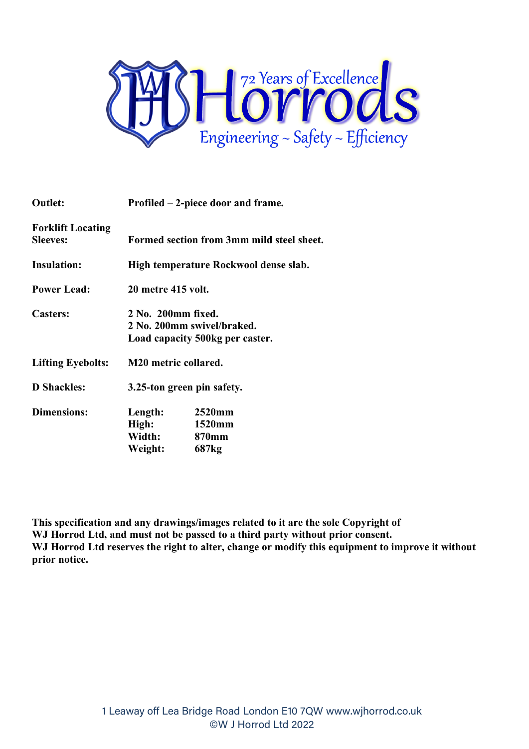

| <b>Outlet:</b>                              | Profiled – 2-piece door and frame.                                                  |                                                |  |
|---------------------------------------------|-------------------------------------------------------------------------------------|------------------------------------------------|--|
| <b>Forklift Locating</b><br><b>Sleeves:</b> |                                                                                     | Formed section from 3mm mild steel sheet.      |  |
| <b>Insulation:</b>                          | High temperature Rockwool dense slab.                                               |                                                |  |
| <b>Power Lead:</b>                          | <b>20 metre 415 volt.</b>                                                           |                                                |  |
| <b>Casters:</b>                             | 2 No. 200mm fixed.<br>2 No. 200mm swivel/braked.<br>Load capacity 500kg per caster. |                                                |  |
| <b>Lifting Eyebolts:</b>                    | M20 metric collared.                                                                |                                                |  |
| <b>D</b> Shackles:                          | 3.25-ton green pin safety.                                                          |                                                |  |
| <b>Dimensions:</b>                          | Length:<br>High:<br>Width:<br>Weight:                                               | 2520mm<br>1520mm<br>870mm<br>687 <sub>kg</sub> |  |

**This specification and any drawings/images related to it are the sole Copyright of WJ Horrod Ltd, and must not be passed to a third party without prior consent. WJ Horrod Ltd reserves the right to alter, change or modify this equipment to improve it without prior notice.**